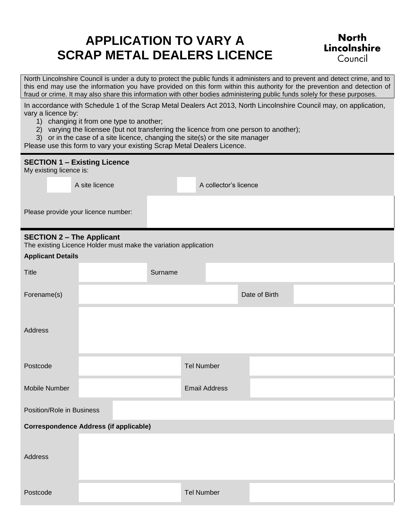# **APPLICATION TO VARY A SCRAP METAL DEALERS LICENCE**

## **North** Lincolnshire Council

North Lincolnshire Council is under a duty to protect the public funds it administers and to prevent and detect crime, and to this end may use the information you have provided on this form within this authority for the prevention and detection of fraud or crime. It may also share this information with other bodies administering public funds solely for these purposes.

In accordance with Schedule 1 of the Scrap Metal Dealers Act 2013, North Lincolnshire Council may, on application, vary a licence by:

- 1) changing it from one type to another;
- 2) varying the licensee (but not transferring the licence from one person to another);
- 3) or in the case of a site licence, changing the site(s) or the site manager

Please use this form to vary your existing Scrap Metal Dealers Licence.

| <b>SECTION 1 - Existing Licence</b><br>My existing licence is: |                                                                                                     |         |                      |                       |  |               |  |  |  |
|----------------------------------------------------------------|-----------------------------------------------------------------------------------------------------|---------|----------------------|-----------------------|--|---------------|--|--|--|
|                                                                | A site licence                                                                                      |         |                      | A collector's licence |  |               |  |  |  |
| Please provide your licence number:                            |                                                                                                     |         |                      |                       |  |               |  |  |  |
| <b>Applicant Details</b>                                       | <b>SECTION 2 - The Applicant</b><br>The existing Licence Holder must make the variation application |         |                      |                       |  |               |  |  |  |
| <b>Title</b>                                                   |                                                                                                     | Surname |                      |                       |  |               |  |  |  |
| Forename(s)                                                    |                                                                                                     |         |                      |                       |  | Date of Birth |  |  |  |
| <b>Address</b>                                                 |                                                                                                     |         |                      |                       |  |               |  |  |  |
| Postcode                                                       |                                                                                                     |         | <b>Tel Number</b>    |                       |  |               |  |  |  |
| Mobile Number                                                  |                                                                                                     |         | <b>Email Address</b> |                       |  |               |  |  |  |
| Position/Role in Business                                      |                                                                                                     |         |                      |                       |  |               |  |  |  |
| <b>Correspondence Address (if applicable)</b>                  |                                                                                                     |         |                      |                       |  |               |  |  |  |
| Address                                                        |                                                                                                     |         |                      |                       |  |               |  |  |  |
| Postcode                                                       |                                                                                                     |         | <b>Tel Number</b>    |                       |  |               |  |  |  |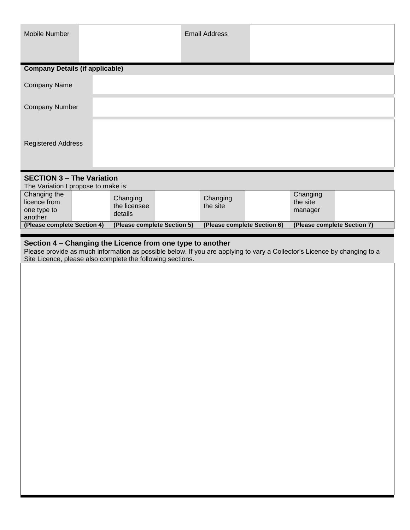| Mobile Number                                                                                 |                                                                                                                                                                                                                                                     | <b>Email Address</b>        |                                 |  |
|-----------------------------------------------------------------------------------------------|-----------------------------------------------------------------------------------------------------------------------------------------------------------------------------------------------------------------------------------------------------|-----------------------------|---------------------------------|--|
|                                                                                               |                                                                                                                                                                                                                                                     |                             |                                 |  |
| <b>Company Details (if applicable)</b>                                                        |                                                                                                                                                                                                                                                     |                             |                                 |  |
| <b>Company Name</b>                                                                           |                                                                                                                                                                                                                                                     |                             |                                 |  |
| <b>Company Number</b>                                                                         |                                                                                                                                                                                                                                                     |                             |                                 |  |
| <b>Registered Address</b>                                                                     |                                                                                                                                                                                                                                                     |                             |                                 |  |
| <b>SECTION 3 - The Variation</b>                                                              |                                                                                                                                                                                                                                                     |                             |                                 |  |
| The Variation I propose to make is:<br>Changing the<br>licence from<br>one type to<br>another | Changing<br>the licensee<br>details                                                                                                                                                                                                                 | Changing<br>the site        | Changing<br>the site<br>manager |  |
| (Please complete Section 4)                                                                   | (Please complete Section 5)                                                                                                                                                                                                                         | (Please complete Section 6) | (Please complete Section 7)     |  |
|                                                                                               | Section 4 - Changing the Licence from one type to another<br>Please provide as much information as possible below. If you are applying to vary a Collector's Licence by changing to a<br>Site Licence, please also complete the following sections. |                             |                                 |  |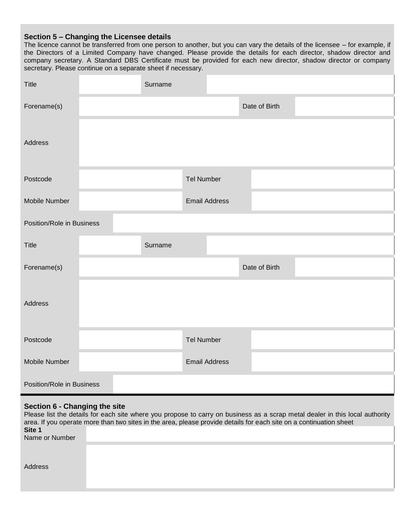## **Section 5 – Changing the Licensee details**

The licence cannot be transferred from one person to another, but you can vary the details of the licensee – for example, if the Directors of a Limited Company have changed. Please provide the details for each director, shadow director and company secretary. A Standard DBS Certificate must be provided for each new director, shadow director or company secretary. Please continue on a separate sheet if necessary.

| Title                     | Surname |                      |  |               |  |  |
|---------------------------|---------|----------------------|--|---------------|--|--|
| Forename(s)               |         |                      |  | Date of Birth |  |  |
| Address                   |         |                      |  |               |  |  |
| Postcode                  |         | <b>Tel Number</b>    |  |               |  |  |
| Mobile Number             |         | <b>Email Address</b> |  |               |  |  |
| Position/Role in Business |         |                      |  |               |  |  |
|                           |         |                      |  |               |  |  |
| <b>Title</b>              | Surname |                      |  |               |  |  |
| Forename(s)               |         |                      |  | Date of Birth |  |  |
| Address                   |         |                      |  |               |  |  |
| Postcode                  |         | <b>Tel Number</b>    |  |               |  |  |
| Mobile Number             |         | <b>Email Address</b> |  |               |  |  |

## **Section 6 - Changing the site**

|                | Please list the details for each site where you propose to carry on business as a scrap metal dealer in this local authority<br>area. If you operate more than two sites in the area, please provide details for each site on a continuation sheet |
|----------------|----------------------------------------------------------------------------------------------------------------------------------------------------------------------------------------------------------------------------------------------------|
| Site 1         |                                                                                                                                                                                                                                                    |
| Name or Number |                                                                                                                                                                                                                                                    |
|                |                                                                                                                                                                                                                                                    |
| Address        |                                                                                                                                                                                                                                                    |
|                |                                                                                                                                                                                                                                                    |
|                |                                                                                                                                                                                                                                                    |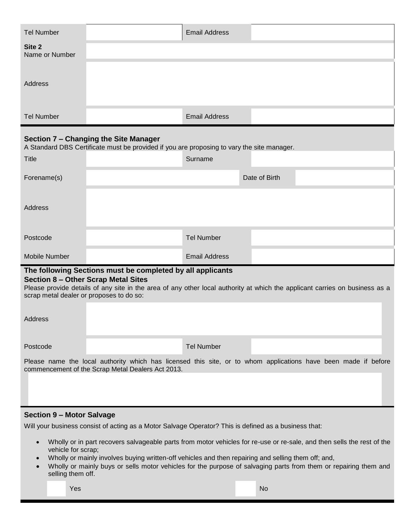| <b>Tel Number</b>                                                                      |                                                                                                                                     | <b>Email Address</b> |                                                                                                                             |
|----------------------------------------------------------------------------------------|-------------------------------------------------------------------------------------------------------------------------------------|----------------------|-----------------------------------------------------------------------------------------------------------------------------|
| Site 2<br>Name or Number                                                               |                                                                                                                                     |                      |                                                                                                                             |
|                                                                                        |                                                                                                                                     |                      |                                                                                                                             |
| Address                                                                                |                                                                                                                                     |                      |                                                                                                                             |
|                                                                                        |                                                                                                                                     |                      |                                                                                                                             |
| <b>Tel Number</b>                                                                      |                                                                                                                                     | <b>Email Address</b> |                                                                                                                             |
|                                                                                        | Section 7 - Changing the Site Manager<br>A Standard DBS Certificate must be provided if you are proposing to vary the site manager. |                      |                                                                                                                             |
| Title                                                                                  |                                                                                                                                     | Surname              |                                                                                                                             |
| Forename(s)                                                                            |                                                                                                                                     |                      | Date of Birth                                                                                                               |
|                                                                                        |                                                                                                                                     |                      |                                                                                                                             |
| Address                                                                                |                                                                                                                                     |                      |                                                                                                                             |
|                                                                                        |                                                                                                                                     |                      |                                                                                                                             |
| Postcode                                                                               |                                                                                                                                     | <b>Tel Number</b>    |                                                                                                                             |
| Mobile Number                                                                          |                                                                                                                                     | <b>Email Address</b> |                                                                                                                             |
| <b>Section 8 - Other Scrap Metal Sites</b><br>scrap metal dealer or proposes to do so: | The following Sections must be completed by all applicants                                                                          |                      | Please provide details of any site in the area of any other local authority at which the applicant carries on business as a |
| Address                                                                                |                                                                                                                                     |                      |                                                                                                                             |
| Postcode                                                                               |                                                                                                                                     | <b>Tel Number</b>    |                                                                                                                             |
|                                                                                        | commencement of the Scrap Metal Dealers Act 2013.                                                                                   |                      | Please name the local authority which has licensed this site, or to whom applications have been made if before              |
|                                                                                        |                                                                                                                                     |                      |                                                                                                                             |
| <b>Section 9 - Motor Salvage</b>                                                       |                                                                                                                                     |                      |                                                                                                                             |

Will your business consist of acting as a Motor Salvage Operator? This is defined as a business that:

- Wholly or in part recovers salvageable parts from motor vehicles for re-use or re-sale, and then sells the rest of the vehicle for scrap;
- Wholly or mainly involves buying written-off vehicles and then repairing and selling them off; and,
- Wholly or mainly buys or sells motor vehicles for the purpose of salvaging parts from them or repairing them and selling them off.

Yes Note and the Community of the Community of the Community of the Note and the Note and the Note and the Not